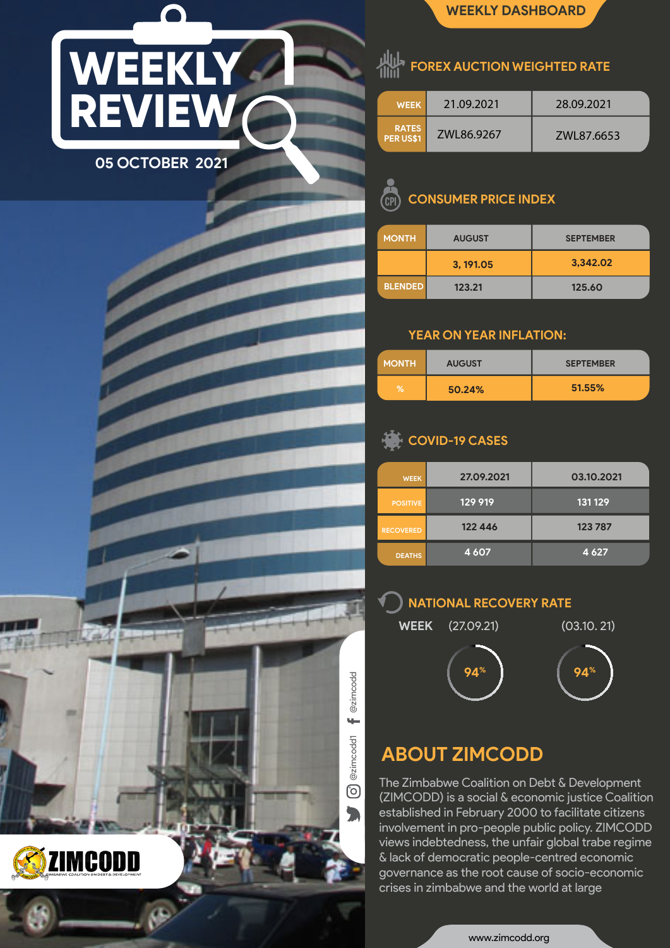# **WEEKLY REVIEW 05 OCTOBER 2021**

**FOREX AUCTION WEIGHTED RATE** 

| <b>WEEK</b>        | 21.09.2021 | 28.09.2021 |
|--------------------|------------|------------|
| RATES<br>PER US\$1 | ZWL86.9267 | ZWL87.6653 |

**WEEKLY DASHBOARD**

#### **CONSUMER PRICE INDEX CP**

| <b>MONTH</b>   | <b>AUGUST</b> | <b>SEPTEMBER</b> |
|----------------|---------------|------------------|
|                | 3, 191.05     | 3,342.02         |
| <b>BLENDED</b> | 123.21        | 125.60           |

### **YEAR ON YEAR INFLATION:**

| <b>MONTH</b> | <b>AUGUST</b> | <b>SEPTEMBER</b> |
|--------------|---------------|------------------|
| %            | 50.24%        | 51.55%           |

## **COVID-19 CASES**

| <b>WEEK</b>      | 27.09.2021 | 03.10.2021 |
|------------------|------------|------------|
| <b>POSITIVE</b>  | 129 919    | 131 129    |
| <b>RECOVERED</b> | 122 446    | 123787     |
| <b>DEATHS</b>    | 4607       | 4 6 2 7    |

#### **NATIONAL RECOVERY RATE**



# **ABOUT ZIMCODD**

@zimcodd1 @zimcodd

@zimcodd1

<u>ල</u>

 $\blacksquare$ 

 $\leftarrow$ 

@zimcodd

The Zimbabwe Coalition on Debt & Development (ZIMCODD) is a social & economic justice Coalition established in February 2000 to facilitate citizens involvement in pro-people public policy. ZIMCODD views indebtedness, the unfair global trabe regime & lack of democratic people-centred economic governance as the root cause of socio-economic crises in zimbabwe and the world at large

www.zimcodd.org



1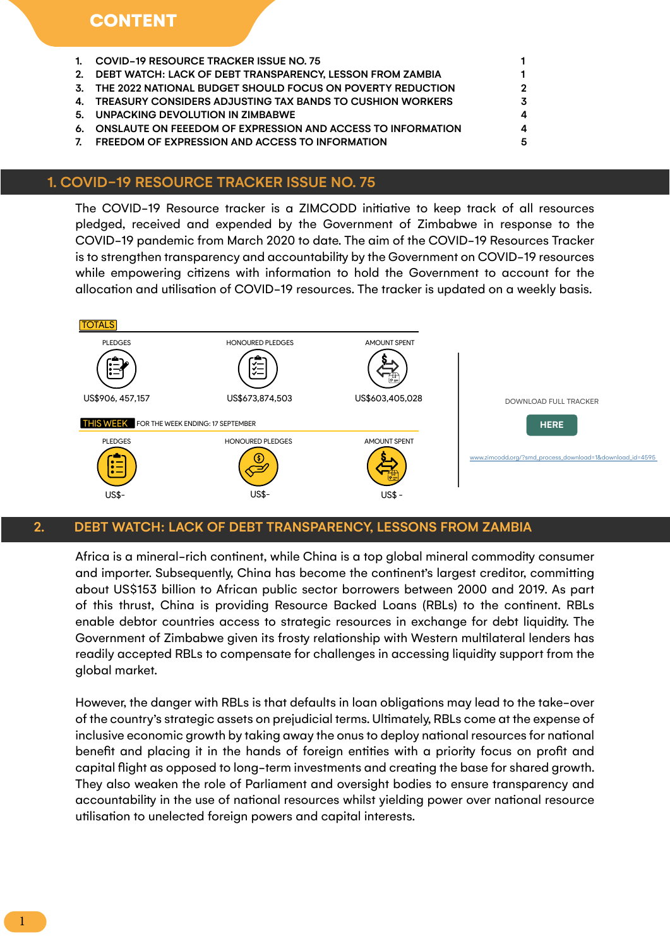- 1. COVID-19 RESOURCE TRACKER ISSUE NO. 75 1
- 2. DEBT WATCH: LACK OF DEBT TRANSPARENCY, LESSON FROM ZAMBIA 1
- 3. THE 2022 NATIONAL BUDGET SHOULD FOCUS ON POVERTY REDUCTION 2
- 4. TREASURY CONSIDERS ADJUSTING TAX BANDS TO CUSHION WORKERS  $3$
- 5. UNPACKING DEVOLUTION IN ZIMBABWE 4
- 6. ONSLAUTE ON FEEEDOM OF EXPRESSION AND ACCESS TO INFORMATION 4
- 7. FREEDOM OF EXPRESSION AND ACCESS TO INFORMATION 65

#### 1. COVID-19 RESOURCE TRACKER ISSUE NO. 75

The COVID-19 Resource tracker is a ZIMCODD initiative to keep track of all resources pledged, received and expended by the Government of Zimbabwe in response to the COVID-19 pandemic from March 2020 to date. The aim of the COVID-19 Resources Tracker is to strengthen transparency and accountability by the Government on COVID-19 resources while empowering citizens with information to hold the Government to account for the allocation and utilisation of COVID-19 resources. The tracker is updated on a weekly basis.



#### 2. DEBT WATCH: LACK OF DEBT TRANSPARENCY, LESSONS FROM ZAMBIA

Africa is a mineral-rich continent, while China is a top global mineral commodity consumer and importer. Subsequently, China has become the continent's largest creditor, committing about US\$153 billion to African public sector borrowers between 2000 and 2019. As part of this thrust, China is providing Resource Backed Loans (RBLs) to the continent. RBLs enable debtor countries access to strategic resources in exchange for debt liquidity. The Government of Zimbabwe given its frosty relationship with Western multilateral lenders has readily accepted RBLs to compensate for challenges in accessing liquidity support from the global market.

However, the danger with RBLs is that defaults in loan obligations may lead to the take-over of the country's strategic assets on prejudicial terms. Ultimately, RBLs come at the expense of inclusive economic growth by taking away the onus to deploy national resources for national benefit and placing it in the hands of foreign entities with a priority focus on profit and capital flight as opposed to long-term investments and creating the base for shared growth. They also weaken the role of Parliament and oversight bodies to ensure transparency and accountability in the use of national resources whilst yielding power over national resource utilisation to unelected foreign powers and capital interests.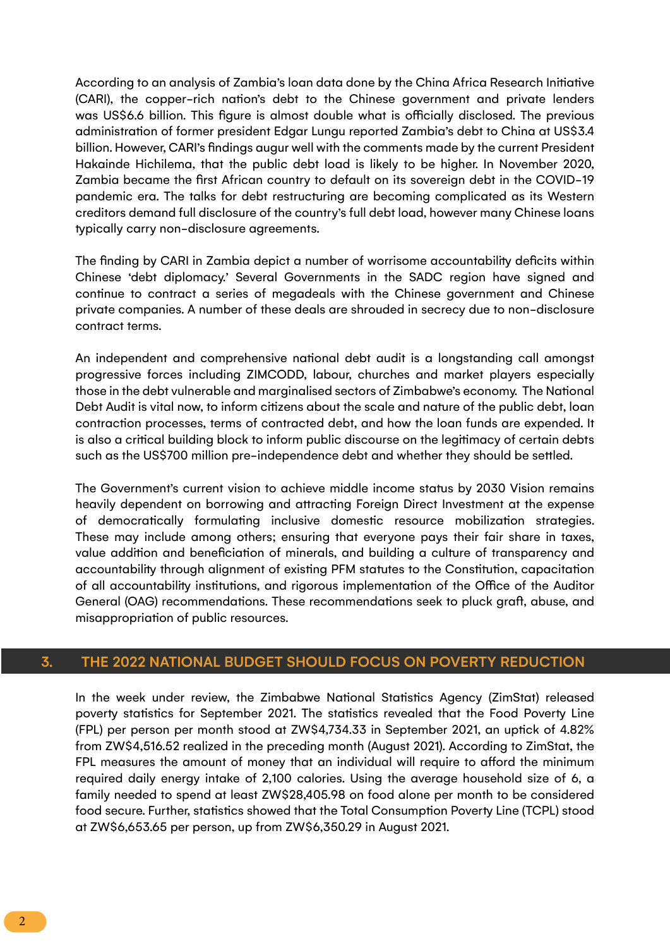According to an analysis of Zambia's loan data done by the China Africa Research Initiative (CARI), the copper-rich nation's debt to the Chinese government and private lenders was US\$6.6 billion. This figure is almost double what is officially disclosed. The previous administration of former president Edgar Lungu reported Zambia's debt to China at US\$3.4 billion. However, CARI's findings augur well with the comments made by the current President Hakainde Hichilema, that the public debt load is likely to be higher. In November 2020, Zambia became the first African country to default on its sovereign debt in the COVID-19 pandemic era. The talks for debt restructuring are becoming complicated as its Western creditors demand full disclosure of the country's full debt load, however many Chinese loans typically carry non-disclosure agreements.

The finding by CARI in Zambia depict a number of worrisome accountability deficits within Chinese 'debt diplomacy.' Several Governments in the SADC region have signed and continue to contract a series of megadeals with the Chinese government and Chinese private companies. A number of these deals are shrouded in secrecy due to non-disclosure contract terms.

An independent and comprehensive national debt audit is a longstanding call amongst progressive forces including ZIMCODD, labour, churches and market players especially those in the debt vulnerable and marginalised sectors of Zimbabwe's economy. The National Debt Audit is vital now, to inform citizens about the scale and nature of the public debt, loan contraction processes, terms of contracted debt, and how the loan funds are expended. It is also a critical building block to inform public discourse on the legitimacy of certain debts such as the US\$700 million pre-independence debt and whether they should be settled.

The Government's current vision to achieve middle income status by 2030 Vision remains heavily dependent on borrowing and attracting Foreign Direct Investment at the expense of democratically formulating inclusive domestic resource mobilization strategies. These may include among others; ensuring that everyone pays their fair share in taxes, value addition and beneficiation of minerals, and building a culture of transparency and accountability through alignment of existing PFM statutes to the Constitution, capacitation of all accountability institutions, and rigorous implementation of the Office of the Auditor General (OAG) recommendations. These recommendations seek to pluck graft, abuse, and misappropriation of public resources.

#### 3. THE 2022 NATIONAL BUDGET SHOULD FOCUS ON POVERTY REDUCTION

In the week under review, the Zimbabwe National Statistics Agency (ZimStat) released poverty statistics for September 2021. The statistics revealed that the Food Poverty Line (FPL) per person per month stood at ZW\$4,734.33 in September 2021, an uptick of 4.82% from ZW\$4,516.52 realized in the preceding month (August 2021). According to ZimStat, the FPL measures the amount of money that an individual will require to afford the minimum required daily energy intake of 2,100 calories. Using the average household size of 6, a family needed to spend at least ZW\$28,405.98 on food alone per month to be considered food secure. Further, statistics showed that the Total Consumption Poverty Line (TCPL) stood at ZW\$6,653.65 per person, up from ZW\$6,350.29 in August 2021.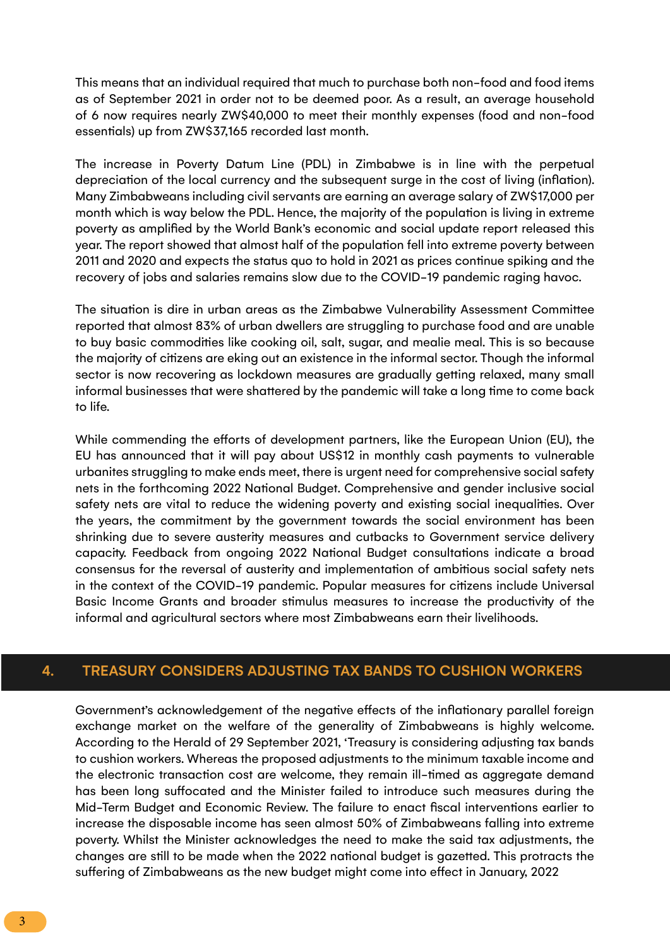This means that an individual required that much to purchase both non-food and food items as of September 2021 in order not to be deemed poor. As a result, an average household of 6 now requires nearly ZW\$40,000 to meet their monthly expenses (food and non-food essentials) up from ZW\$37,165 recorded last month.

The increase in Poverty Datum Line (PDL) in Zimbabwe is in line with the perpetual depreciation of the local currency and the subsequent surge in the cost of living (inflation). Many Zimbabweans including civil servants are earning an average salary of ZW\$17,000 per month which is way below the PDL. Hence, the majority of the population is living in extreme poverty as amplified by the World Bank's economic and social update report released this year. The report showed that almost half of the population fell into extreme poverty between 2011 and 2020 and expects the status quo to hold in 2021 as prices continue spiking and the recovery of jobs and salaries remains slow due to the COVID-19 pandemic raging havoc.

The situation is dire in urban areas as the Zimbabwe Vulnerability Assessment Committee reported that almost 83% of urban dwellers are struggling to purchase food and are unable to buy basic commodities like cooking oil, salt, sugar, and mealie meal. This is so because the majority of citizens are eking out an existence in the informal sector. Though the informal sector is now recovering as lockdown measures are gradually getting relaxed, many small informal businesses that were shattered by the pandemic will take a long time to come back to life.

While commending the efforts of development partners, like the European Union (EU), the EU has announced that it will pay about US\$12 in monthly cash payments to vulnerable urbanites struggling to make ends meet, there is urgent need for comprehensive social safety nets in the forthcoming 2022 National Budget. Comprehensive and gender inclusive social safety nets are vital to reduce the widening poverty and existing social inequalities. Over the years, the commitment by the government towards the social environment has been shrinking due to severe austerity measures and cutbacks to Government service delivery capacity. Feedback from ongoing 2022 National Budget consultations indicate a broad consensus for the reversal of austerity and implementation of ambitious social safety nets in the context of the COVID-19 pandemic. Popular measures for citizens include Universal Basic Income Grants and broader stimulus measures to increase the productivity of the informal and agricultural sectors where most Zimbabweans earn their livelihoods.

#### 4. TREASURY CONSIDERS ADJUSTING TAX BANDS TO CUSHION WORKERS

Government's acknowledgement of the negative effects of the inflationary parallel foreign exchange market on the welfare of the generality of Zimbabweans is highly welcome. According to the Herald of 29 September 2021, 'Treasury is considering adjusting tax bands to cushion workers. Whereas the proposed adjustments to the minimum taxable income and the electronic transaction cost are welcome, they remain ill-timed as aggregate demand has been long suffocated and the Minister failed to introduce such measures during the Mid-Term Budget and Economic Review. The failure to enact fiscal interventions earlier to increase the disposable income has seen almost 50% of Zimbabweans falling into extreme poverty. Whilst the Minister acknowledges the need to make the said tax adjustments, the changes are still to be made when the 2022 national budget is gazetted. This protracts the suffering of Zimbabweans as the new budget might come into effect in January, 2022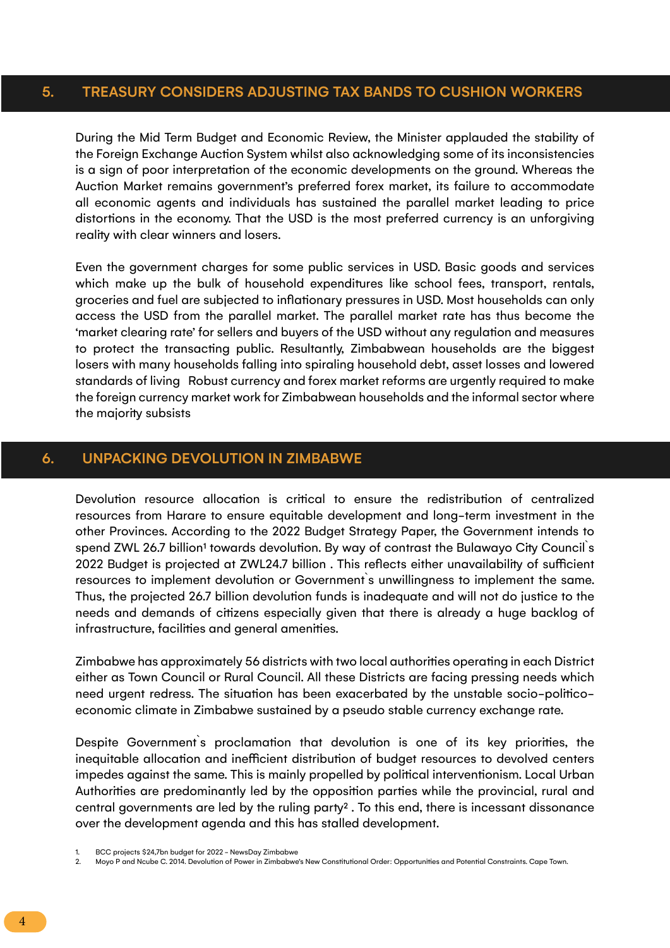#### 5. TREASURY CONSIDERS ADJUSTING TAX BANDS TO CUSHION WORKERS

During the Mid Term Budget and Economic Review, the Minister applauded the stability of the Foreign Exchange Auction System whilst also acknowledging some of its inconsistencies is a sign of poor interpretation of the economic developments on the ground. Whereas the Auction Market remains government's preferred forex market, its failure to accommodate all economic agents and individuals has sustained the parallel market leading to price distortions in the economy. That the USD is the most preferred currency is an unforgiving reality with clear winners and losers.

Even the government charges for some public services in USD. Basic goods and services which make up the bulk of household expenditures like school fees, transport, rentals, groceries and fuel are subjected to inflationary pressures in USD. Most households can only access the USD from the parallel market. The parallel market rate has thus become the 'market clearing rate' for sellers and buyers of the USD without any regulation and measures to protect the transacting public. Resultantly, Zimbabwean households are the biggest losers with many households falling into spiraling household debt, asset losses and lowered standards of living Robust currency and forex market reforms are urgently required to make the foreign currency market work for Zimbabwean households and the informal sector where the majority subsists

#### 6. UNPACKING DEVOLUTION IN ZIMBABWE

Devolution resource allocation is critical to ensure the redistribution of centralized resources from Harare to ensure equitable development and long-term investment in the other Provinces. According to the 2022 Budget Strategy Paper, the Government intends to spend ZWL 26.7 billion<sup>1</sup> towards devolution. By way of contrast the Bulawayo City Council's 2022 Budget is projected at ZWL24.7 billion . This reflects either unavailability of sufficient resources to implement devolution or Government`s unwillingness to implement the same. Thus, the projected 26.7 billion devolution funds is inadequate and will not do justice to the needs and demands of citizens especially given that there is already a huge backlog of infrastructure, facilities and general amenities.

Zimbabwe has approximately 56 districts with two local authorities operating in each District either as Town Council or Rural Council. All these Districts are facing pressing needs which need urgent redress. The situation has been exacerbated by the unstable socio-politicoeconomic climate in Zimbabwe sustained by a pseudo stable currency exchange rate.

Despite Government`s proclamation that devolution is one of its key priorities, the inequitable allocation and inefficient distribution of budget resources to devolved centers impedes against the same. This is mainly propelled by political interventionism. Local Urban Authorities are predominantly led by the opposition parties while the provincial, rural and central governments are led by the ruling party<sup>2</sup>. To this end, there is incessant dissonance over the development agenda and this has stalled development.

<sup>1.</sup> BCC projects \$24,7bn budget for 2022 - NewsDay Zimbabwe

<sup>2.</sup> Moyo P and Ncube C. 2014. Devolution of Power in Zimbabwe's New Constitutional Order: Opportunities and Potential Constraints. Cape Town.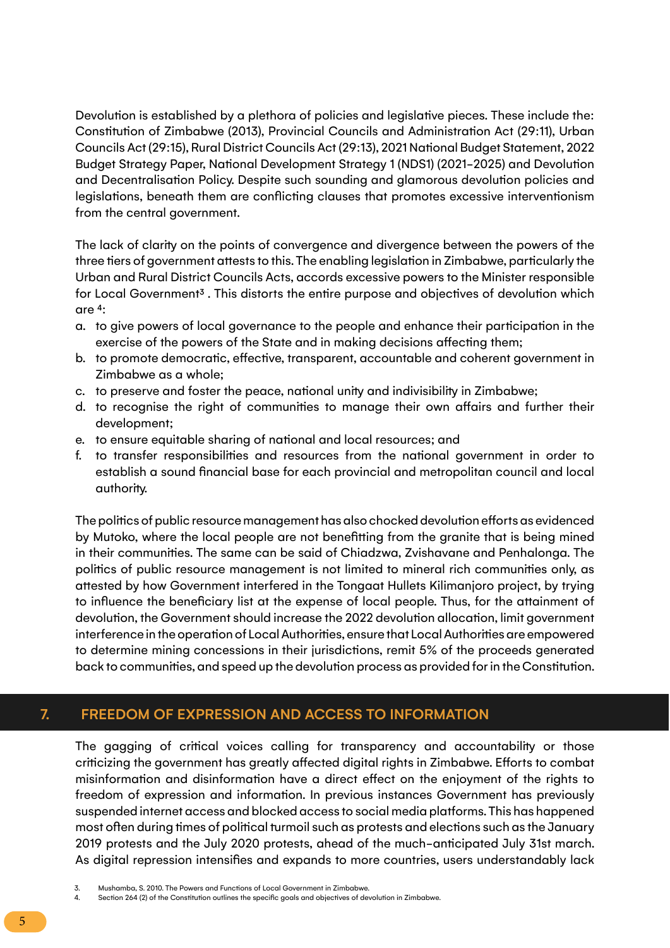Devolution is established by a plethora of policies and legislative pieces. These include the: Constitution of Zimbabwe (2013), Provincial Councils and Administration Act (29:11), Urban Councils Act (29:15), Rural District Councils Act (29:13), 2021 National Budget Statement, 2022 Budget Strategy Paper, National Development Strategy 1 (NDS1) (2021-2025) and Devolution and Decentralisation Policy. Despite such sounding and glamorous devolution policies and legislations, beneath them are conflicting clauses that promotes excessive interventionism from the central government.

The lack of clarity on the points of convergence and divergence between the powers of the three tiers of government attests to this. The enabling legislation in Zimbabwe, particularly the Urban and Rural District Councils Acts, accords excessive powers to the Minister responsible for Local Government<sup>3</sup>. This distorts the entire purpose and objectives of devolution which are 4:

- a. to give powers of local governance to the people and enhance their participation in the exercise of the powers of the State and in making decisions affecting them;
- b. to promote democratic, effective, transparent, accountable and coherent government in Zimbabwe as a whole;
- c. to preserve and foster the peace, national unity and indivisibility in Zimbabwe;
- d. to recognise the right of communities to manage their own affairs and further their development;
- e. to ensure equitable sharing of national and local resources; and
- f. to transfer responsibilities and resources from the national government in order to establish a sound financial base for each provincial and metropolitan council and local authority.

The politics of public resource management has also chocked devolution efforts as evidenced by Mutoko, where the local people are not benefitting from the granite that is being mined in their communities. The same can be said of Chiadzwa, Zvishavane and Penhalonga. The politics of public resource management is not limited to mineral rich communities only, as attested by how Government interfered in the Tongaat Hullets Kilimanjoro project, by trying to influence the beneficiary list at the expense of local people. Thus, for the attainment of devolution, the Government should increase the 2022 devolution allocation, limit government interference in the operation of Local Authorities, ensure that Local Authorities are empowered to determine mining concessions in their jurisdictions, remit 5% of the proceeds generated back to communities, and speed up the devolution process as provided for in the Constitution.

#### 7. FREEDOM OF EXPRESSION AND ACCESS TO INFORMATION

The gagging of critical voices calling for transparency and accountability or those criticizing the government has greatly affected digital rights in Zimbabwe. Efforts to combat misinformation and disinformation have a direct effect on the enjoyment of the rights to freedom of expression and information. In previous instances Government has previously suspended internet access and blocked access to social media platforms. This has happened most often during times of political turmoil such as protests and elections such as the January 2019 protests and the July 2020 protests, ahead of the much-anticipated July 31st march. As digital repression intensifies and expands to more countries, users understandably lack

4. Section 264 (2) of the Constitution outlines the specific goals and objectives of devolution in Zimbabwe.

<sup>3.</sup> Mushamba, S. 2010. The Powers and Functions of Local Government in Zimbabwe.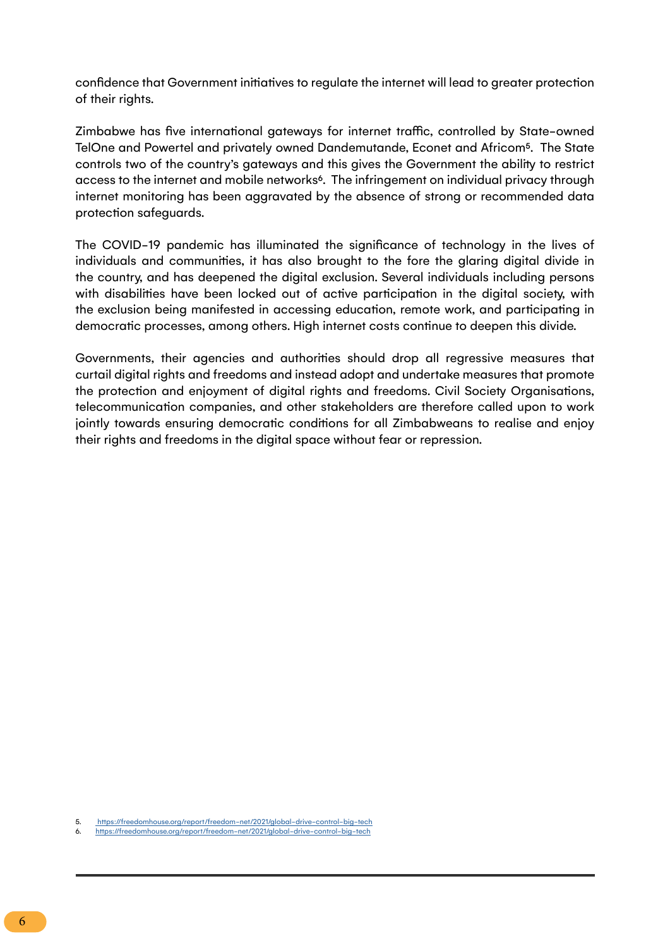confidence that Government initiatives to regulate the internet will lead to greater protection of their rights.

Zimbabwe has five international gateways for internet traffic, controlled by State-owned TelOne and Powertel and privately owned Dandemutande, Econet and Africom5. The State controls two of the country's gateways and this gives the Government the ability to restrict access to the internet and mobile networks<sup>6</sup>. The infringement on individual privacy through internet monitoring has been aggravated by the absence of strong or recommended data protection safeguards.

The COVID-19 pandemic has illuminated the significance of technology in the lives of individuals and communities, it has also brought to the fore the glaring digital divide in the country, and has deepened the digital exclusion. Several individuals including persons with disabilities have been locked out of active participation in the digital society, with the exclusion being manifested in accessing education, remote work, and participating in democratic processes, among others. High internet costs continue to deepen this divide.

Governments, their agencies and authorities should drop all regressive measures that curtail digital rights and freedoms and instead adopt and undertake measures that promote the protection and enjoyment of digital rights and freedoms. Civil Society Organisations, telecommunication companies, and other stakeholders are therefore called upon to work jointly towards ensuring democratic conditions for all Zimbabweans to realise and enjoy their rights and freedoms in the digital space without fear or repression.

<sup>5.</sup> [https://freedomhouse.org/report/freedom-net/2021/global-drive-control-big-tech]( https://freedomhouse.org/report/freedom-net/2021/global-drive-control-big-tech)

<sup>6.</sup> <https://freedomhouse.org/report/freedom-net/2021/global-drive-control-big-tech>